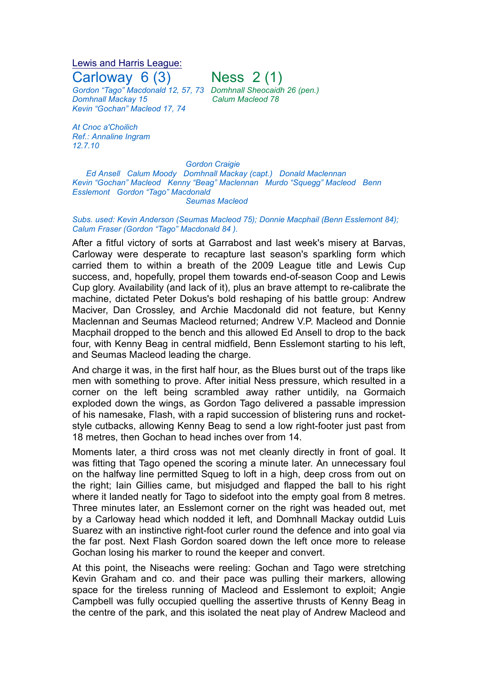## Lewis and Harris League: Carloway  $6(3)$  Ness  $2(1)$

*Gordon "Tago" Macdonald 12, 57, 73 Domhnall Sheocaidh 26 (pen.) Domhnall Mackay 15 Calum Macleod 78 Kevin "Gochan" Macleod 17, 74*

*At Cnoc a'Choilich Ref.: Annaline Ingram 12.7.10*

*Gordon Craigie*

*Ed Ansell Calum Moody Domhnall Mackay (capt.) Donald Maclennan Kevin "Gochan" Macleod Kenny "Beag" Maclennan Murdo "Squegg" Macleod Benn Esslemont Gordon "Tago" Macdonald Seumas Macleod*

## *Subs. used: Kevin Anderson (Seumas Macleod 75); Donnie Macphail (Benn Esslemont 84); Calum Fraser (Gordon "Tago" Macdonald 84 ).*

After a fitful victory of sorts at Garrabost and last week's misery at Barvas, Carloway were desperate to recapture last season's sparkling form which carried them to within a breath of the 2009 League title and Lewis Cup success, and, hopefully, propel them towards end-of-season Coop and Lewis Cup glory. Availability (and lack of it), plus an brave attempt to re-calibrate the machine, dictated Peter Dokus's bold reshaping of his battle group: Andrew Maciver, Dan Crossley, and Archie Macdonald did not feature, but Kenny Maclennan and Seumas Macleod returned; Andrew V.P. Macleod and Donnie Macphail dropped to the bench and this allowed Ed Ansell to drop to the back four, with Kenny Beag in central midfield, Benn Esslemont starting to his left, and Seumas Macleod leading the charge.

And charge it was, in the first half hour, as the Blues burst out of the traps like men with something to prove. After initial Ness pressure, which resulted in a corner on the left being scrambled away rather untidily, na Gormaich exploded down the wings, as Gordon Tago delivered a passable impression of his namesake, Flash, with a rapid succession of blistering runs and rocketstyle cutbacks, allowing Kenny Beag to send a low right-footer just past from 18 metres, then Gochan to head inches over from 14.

Moments later, a third cross was not met cleanly directly in front of goal. It was fitting that Tago opened the scoring a minute later. An unnecessary foul on the halfway line permitted Squeg to loft in a high, deep cross from out on the right; Iain Gillies came, but misjudged and flapped the ball to his right where it landed neatly for Tago to sidefoot into the empty goal from 8 metres. Three minutes later, an Esslemont corner on the right was headed out, met by a Carloway head which nodded it left, and Domhnall Mackay outdid Luis Suarez with an instinctive right-foot curler round the defence and into goal via the far post. Next Flash Gordon soared down the left once more to release Gochan losing his marker to round the keeper and convert.

At this point, the Niseachs were reeling: Gochan and Tago were stretching Kevin Graham and co. and their pace was pulling their markers, allowing space for the tireless running of Macleod and Esslemont to exploit; Angie Campbell was fully occupied quelling the assertive thrusts of Kenny Beag in the centre of the park, and this isolated the neat play of Andrew Macleod and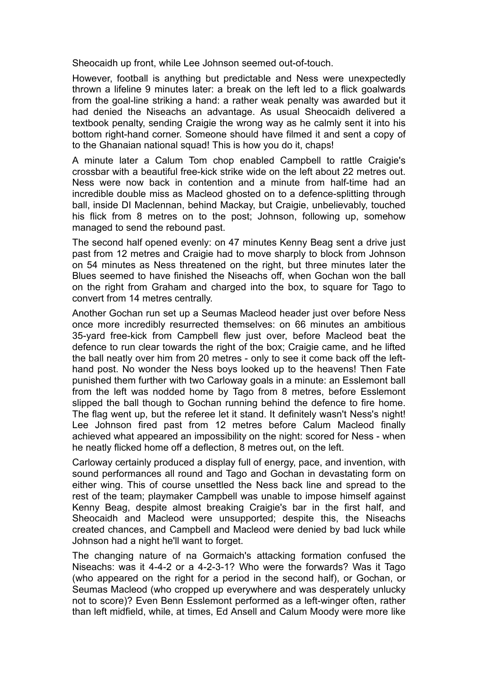Sheocaidh up front, while Lee Johnson seemed out-of-touch.

However, football is anything but predictable and Ness were unexpectedly thrown a lifeline 9 minutes later: a break on the left led to a flick goalwards from the goal-line striking a hand: a rather weak penalty was awarded but it had denied the Niseachs an advantage. As usual Sheocaidh delivered a textbook penalty, sending Craigie the wrong way as he calmly sent it into his bottom right-hand corner. Someone should have filmed it and sent a copy of to the Ghanaian national squad! This is how you do it, chaps!

A minute later a Calum Tom chop enabled Campbell to rattle Craigie's crossbar with a beautiful free-kick strike wide on the left about 22 metres out. Ness were now back in contention and a minute from half-time had an incredible double miss as Macleod ghosted on to a defence-splitting through ball, inside DI Maclennan, behind Mackay, but Craigie, unbelievably, touched his flick from 8 metres on to the post; Johnson, following up, somehow managed to send the rebound past.

The second half opened evenly: on 47 minutes Kenny Beag sent a drive just past from 12 metres and Craigie had to move sharply to block from Johnson on 54 minutes as Ness threatened on the right, but three minutes later the Blues seemed to have finished the Niseachs off, when Gochan won the ball on the right from Graham and charged into the box, to square for Tago to convert from 14 metres centrally.

Another Gochan run set up a Seumas Macleod header just over before Ness once more incredibly resurrected themselves: on 66 minutes an ambitious 35-yard free-kick from Campbell flew just over, before Macleod beat the defence to run clear towards the right of the box; Craigie came, and he lifted the ball neatly over him from 20 metres - only to see it come back off the lefthand post. No wonder the Ness boys looked up to the heavens! Then Fate punished them further with two Carloway goals in a minute: an Esslemont ball from the left was nodded home by Tago from 8 metres, before Esslemont slipped the ball though to Gochan running behind the defence to fire home. The flag went up, but the referee let it stand. It definitely wasn't Ness's night! Lee Johnson fired past from 12 metres before Calum Macleod finally achieved what appeared an impossibility on the night: scored for Ness - when he neatly flicked home off a deflection, 8 metres out, on the left.

Carloway certainly produced a display full of energy, pace, and invention, with sound performances all round and Tago and Gochan in devastating form on either wing. This of course unsettled the Ness back line and spread to the rest of the team; playmaker Campbell was unable to impose himself against Kenny Beag, despite almost breaking Craigie's bar in the first half, and Sheocaidh and Macleod were unsupported; despite this, the Niseachs created chances, and Campbell and Macleod were denied by bad luck while Johnson had a night he'll want to forget.

The changing nature of na Gormaich's attacking formation confused the Niseachs: was it 4-4-2 or a 4-2-3-1? Who were the forwards? Was it Tago (who appeared on the right for a period in the second half), or Gochan, or Seumas Macleod (who cropped up everywhere and was desperately unlucky not to score)? Even Benn Esslemont performed as a left-winger often, rather than left midfield, while, at times, Ed Ansell and Calum Moody were more like